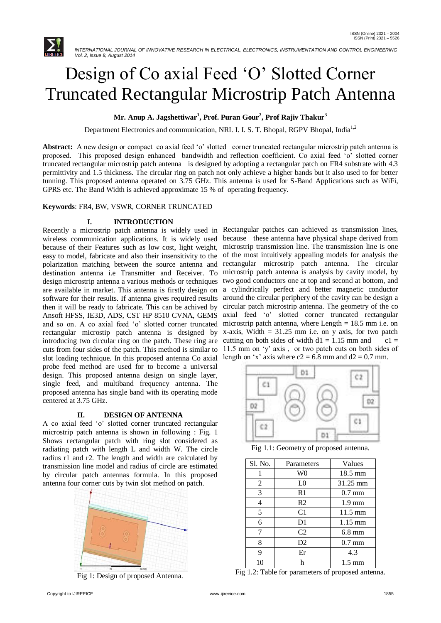

# Design of Co axial Feed 'O' Slotted Corner Truncated Rectangular Microstrip Patch Antenna

**Mr. Anup A. Jagshettiwar<sup>1</sup> , Prof. Puran Gour<sup>2</sup> , Prof Rajiv Thakur<sup>3</sup>**

Department Electronics and communication, NRI. I. I. S. T. Bhopal, RGPV Bhopal, India<sup>1,2</sup>

Abstract: A new design or compact co axial feed 'o' slotted corner truncated rectangular microstrip patch antenna is proposed. This proposed design enhanced bandwidth and reflection coefficient. Co axial feed ‗o' slotted corner truncated rectangular microstrip patch antenna is designed by adopting a rectangular patch on FR4 substrate with 4.3 permittivity and 1.5 thickness. The circular ring on patch not only achieve a higher bands but it also used to for better tunning. This proposed antenna operated on 3.75 GHz. This antenna is used for S-Band Applications such as WiFi, GPRS etc. The Band Width is achieved approximate 15 % of operating frequency.

**Keywords**: FR4, BW, VSWR, CORNER TRUNCATED

## **I. INTRODUCTION**

Recently a microstrip patch antenna is widely used in Rectangular patches can achieved as transmission lines, wireless communication applications. It is widely used because these antenna have physical shape derived from because of their Features such as low cost, light weight, microstrip transmission line. The transmission line is one easy to model, fabricate and also their insensitivity to the polarization matching between the source antenna and rectangular microstrip patch antenna. The circular destination antenna i.e Transmitter and Receiver. To microstrip patch antenna is analysis by cavity model, by design microstrip antenna a various methods or techniques are available in market. This antenna is firstly design on software for their results. If antenna gives required results then it will be ready to fabricate. This can be achived by Ansoft HFSS, IE3D, ADS, CST HP 8510 CVNA, GEMS axial feed 'o' slotted corner truncated rectangular and so on. A co axial feed 'o' slotted corner truncated microstrip patch antenna, where Length = 18.5 mm i.e. on rectangular microstip patch antenna is designed by introducing two circular ring on the patch. These ring are cutting on both sides of width  $d1 = 1.15$  mm and c1 = cuts from four sides of the patch. This method is similar to 11.5 mm on 'y' axis, or two patch cuts on both sides of slot loading technique. In this proposed antenna Co axial length on 'x' axis where  $c2 = 6.8$  mm and  $d2 = 0.7$  mm. probe feed method are used for to become a universal design. This proposed antenna design on single layer, single feed, and multiband frequency antenna. The proposed antenna has single band with its operating mode centered at 3.75 GHz.

## **II. DESIGN OF ANTENNA**

A co axial feed 'o' slotted corner truncated rectangular microstrip patch antenna is shown in following : Fig. 1 Shows rectangular patch with ring slot considered as radiating patch with length L and width W. The circle radius r1 and r2. The length and width are calculated by transmission line model and radius of circle are estimated by circular patch antennas formula. In this proposed antenna four corner cuts by twin slot method on patch.



Fig 1: Design of proposed Antenna.

of the most intuitively appealing models for analysis the two good conductors one at top and second at bottom, and a cylindrically perfect and better magnetic conductor around the circular periphery of the cavity can be design a circular patch microstrip antenna. The geometry of the co x-axis, Width  $= 31.25$  mm i.e. on y axis, for two patch



Fig 1.1: Geometry of proposed antenna.

| Sl. No. | Parameters     | Values            |
|---------|----------------|-------------------|
| 1       | W <sub>0</sub> | $18.5 \text{ mm}$ |
| 2       | L <sub>0</sub> | 31.25 mm          |
| 3       | R1             | $0.7 \text{ mm}$  |
|         | R <sub>2</sub> | $1.9 \text{ mm}$  |
| 5       | C <sub>1</sub> | $11.5 \text{ mm}$ |
| 6       | D <sub>1</sub> | $1.15 \text{ mm}$ |
| 7       | C <sub>2</sub> | $6.8 \text{ mm}$  |
| 8       | D <sub>2</sub> | $0.7 \text{ mm}$  |
| 9       | Er             | 4.3               |
| 10      |                | $1.5 \text{ mm}$  |

Fig 1.2: Table for parameters of proposed antenna.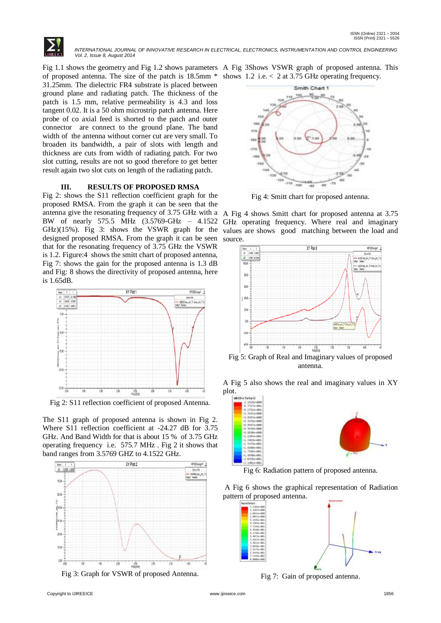

 *INTERNATIONAL JOURNAL OF INNOVATIVE RESEARCH IN ELECTRICAL, ELECTRONICS, INSTRUMENTATION AND CONTROL ENGINEERING Vol. 2, Issue 8, August 2014*

Fig 1.1 shows the geometry and Fig 1.2 shows parameters A Fig 3Shows VSWR graph of proposed antenna. This of proposed antenna. The size of the patch is 18.5mm \* 31.25mm. The dielectric FR4 substrate is placed between ground plane and radiating patch. The thickness of the patch is 1.5 mm, relative permeability is 4.3 and loss tangent 0.02. It is a 50 ohm microstrip patch antenna. Here probe of co axial feed is shorted to the patch and outer connector are connect to the ground plane. The band width of the antenna without corner cut are very small. To broaden its bandwidth, a pair of slots with length and thickness are cuts from width of radiating patch. For two slot cutting, results are not so good therefore to get better result again two slot cuts on length of the radiating patch.

## **III. RESULTS OF PROPOSED RMSA**

Fig 2: shows the S11 reflection coefficient graph for the proposed RMSA. From the graph it can be seen that the antenna give the resonating frequency of 3.75 GHz with a A Fig 4 shows Smitt chart for proposed antenna at 3.75 BW of nearly 575.5 MHz (3.5769-GHz – 4.1522 GHz)(15%). Fig 3: shows the VSWR graph for the values are shows good matching between the load and designed proposed RMSA. From the graph it can be seen that for the resonating frequency of 3.75 GHz the VSWR is 1.2. Figure:4 shows the smitt chart of proposed antenna, Fig 7: shows the gain for the proposed antenna is 1.3 dB and Fig: 8 shows the directivity of proposed antenna, here is 1.65dB.



Fig 2: S11 reflection coefficient of proposed Antenna.

The S11 graph of proposed antenna is shown in Fig 2. Where S11 reflection coefficient at -24.27 dB for 3.75 GHz. And Band Width for that is about 15 % of 3.75 GHz operating frequency i.e. 575.7 MHz . Fig 2 it shows that band ranges from 3.5769 GHZ to 4.1522 GHz.



Fig 3: Graph for VSWR of proposed Antenna.

shows 1.2 i.e.  $<$  2 at 3.75 GHz operating frequency.



Fig 4: Smitt chart for proposed antenna.

GHz operating frequency. Where real and imaginary source.



Fig 5: Graph of Real and Imaginary values of proposed antenna.

A Fig 5 also shows the real and imaginary values in XY plot.



Fig 6: Radiation pattern of proposed antenna.





Fig 7: Gain of proposed antenna.